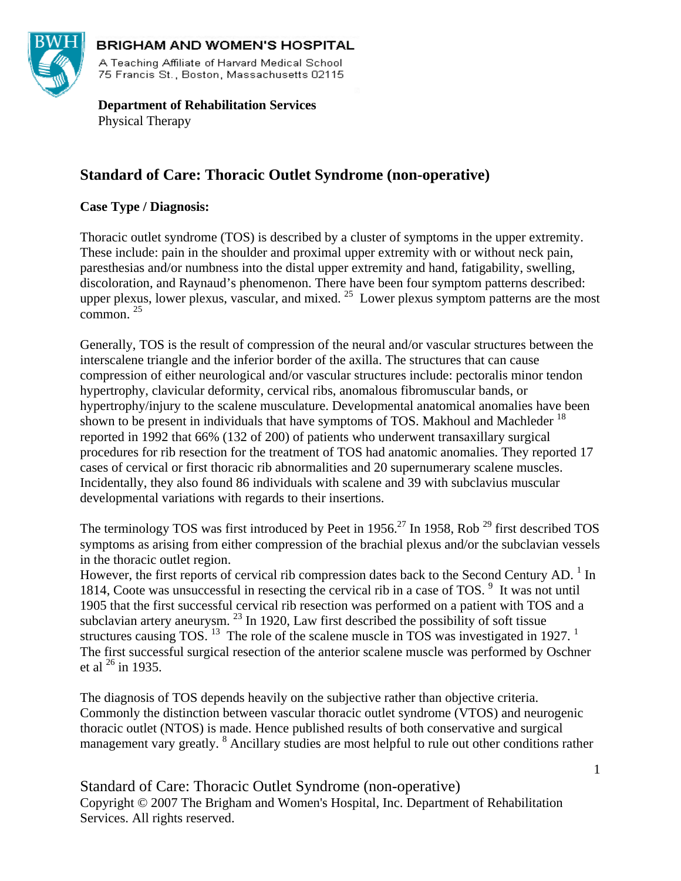

#### **BRIGHAM AND WOMEN'S HOSPITAL**

A Teaching Affiliate of Harvard Medical School 75 Francis St., Boston, Massachusetts 02115

 **Department of Rehabilitation Services**  Physical Therapy

# **Standard of Care: Thoracic Outlet Syndrome (non-operative)**

## **Case Type / Diagnosis:**

Thoracic outlet syndrome (TOS) is described by a cluster of symptoms in the upper extremity. These include: pain in the shoulder and proximal upper extremity with or without neck pain, paresthesias and/or numbness into the distal upper extremity and hand, fatigability, swelling, discoloration, and Raynaud's phenomenon. There have been four symptom patterns described: upper plexus, lower plexus, vascular, and mixed.  $^{25}$  Lower plexus symptom patterns are the most  $common<sub>1</sub>$ <sup>25</sup>

Generally, TOS is the result of compression of the neural and/or vascular structures between the interscalene triangle and the inferior border of the axilla. The structures that can cause compression of either neurological and/or vascular structures include: pectoralis minor tendon hypertrophy, clavicular deformity, cervical ribs, anomalous fibromuscular bands, or hypertrophy/injury to the scalene musculature. Developmental anatomical anomalies have been shown to be present in individuals that have symptoms of TOS. Makhoul and Machleder <sup>18</sup> reported in 1992 that 66% (132 of 200) of patients who underwent transaxillary surgical procedures for rib resection for the treatment of TOS had anatomic anomalies. They reported 17 cases of cervical or first thoracic rib abnormalities and 20 supernumerary scalene muscles. Incidentally, they also found 86 individuals with scalene and 39 with subclavius muscular developmental variations with regards to their insertions.

The terminology TOS was first introduced by Peet in 1956.<sup>27</sup> In 1958, Rob<sup>29</sup> first described TOS symptoms as arising from either compression of the brachial plexus and/or the subclavian vessels in the thoracic outlet region.

However, the first reports of cervical rib compression dates back to the Second Century AD.<sup>1</sup> In 1814, Coote was unsuccessful in resecting the cervical rib in a case of TOS.<sup>9</sup> It was not until 1905 that the first successful cervical rib resection was performed on a patient with TOS and a subclavian artery aneurysm.<sup>23</sup> In 1920, Law first described the possibility of soft tissue structures causing TOS.  $^{13}$  The role of the scalene muscle in TOS was investigated in 1927.  $^{1}$ The first successful surgical resection of the anterior scalene muscle was performed by Oschner et al  $^{26}$  in 1935.

The diagnosis of TOS depends heavily on the subjective rather than objective criteria. Commonly the distinction between vascular thoracic outlet syndrome (VTOS) and neurogenic thoracic outlet (NTOS) is made. Hence published results of both conservative and surgical management vary greatly. <sup>8</sup> Ancillary studies are most helpful to rule out other conditions rather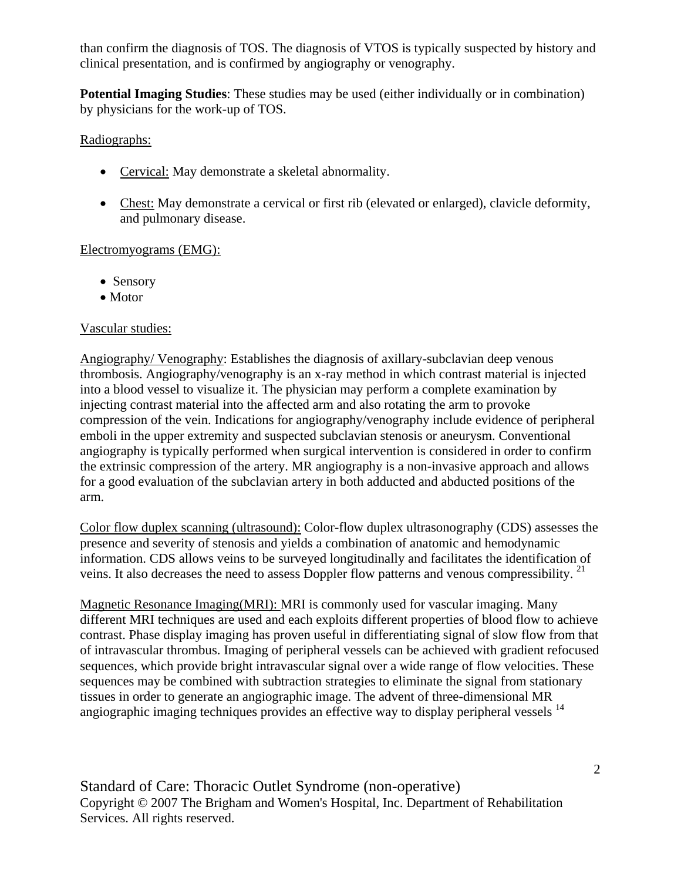than confirm the diagnosis of TOS. The diagnosis of VTOS is typically suspected by history and clinical presentation, and is confirmed by angiography or venography.

**Potential Imaging Studies**: These studies may be used (either individually or in combination) by physicians for the work-up of TOS.

## Radiographs:

- Cervical: May demonstrate a skeletal abnormality.
- Chest: May demonstrate a cervical or first rib (elevated or enlarged), clavicle deformity, and pulmonary disease.

## Electromyograms (EMG):

- Sensory
- Motor

## Vascular studies:

Angiography/ Venography: Establishes the diagnosis of axillary-subclavian deep venous thrombosis. Angiography/venography is an x-ray method in which contrast material is injected into a blood vessel to visualize it. The physician may perform a complete examination by injecting contrast material into the affected arm and also rotating the arm to provoke compression of the vein. Indications for angiography/venography include evidence of peripheral emboli in the upper extremity and suspected subclavian stenosis or aneurysm. Conventional angiography is typically performed when surgical intervention is considered in order to confirm the extrinsic compression of the artery. MR angiography is a non-invasive approach and allows for a good evaluation of the subclavian artery in both adducted and abducted positions of the arm.

Color flow duplex scanning (ultrasound): Color-flow duplex ultrasonography (CDS) assesses the presence and severity of stenosis and yields a combination of anatomic and hemodynamic information. CDS allows veins to be surveyed longitudinally and facilitates the identification of veins. It also decreases the need to assess Doppler flow patterns and venous compressibility.<sup>21</sup>

Magnetic Resonance Imaging(MRI): MRI is commonly used for vascular imaging. Many different MRI techniques are used and each exploits different properties of blood flow to achieve contrast. Phase display imaging has proven useful in differentiating signal of slow flow from that of intravascular thrombus. Imaging of peripheral vessels can be achieved with gradient refocused sequences, which provide bright intravascular signal over a wide range of flow velocities. These sequences may be combined with subtraction strategies to eliminate the signal from stationary tissues in order to generate an angiographic image. The advent of three-dimensional MR angiographic imaging techniques provides an effective way to display peripheral vessels <sup>14</sup>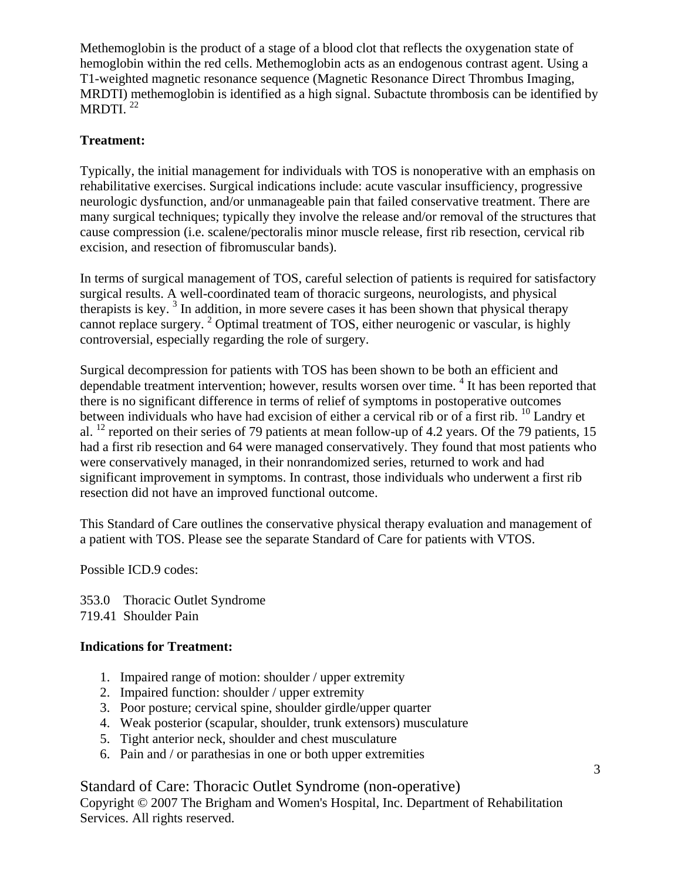Methemoglobin is the product of a stage of a blood clot that reflects the oxygenation state of hemoglobin within the red cells. Methemoglobin acts as an endogenous contrast agent. Using a T1-weighted magnetic resonance sequence (Magnetic Resonance Direct Thrombus Imaging, MRDTI) methemoglobin is identified as a high signal. Subactute thrombosis can be identified by MRDTI. $^{22}$ 

## **Treatment:**

Typically, the initial management for individuals with TOS is nonoperative with an emphasis on rehabilitative exercises. Surgical indications include: acute vascular insufficiency, progressive neurologic dysfunction, and/or unmanageable pain that failed conservative treatment. There are many surgical techniques; typically they involve the release and/or removal of the structures that cause compression (i.e. scalene/pectoralis minor muscle release, first rib resection, cervical rib excision, and resection of fibromuscular bands).

In terms of surgical management of TOS, careful selection of patients is required for satisfactory surgical results. A well-coordinated team of thoracic surgeons, neurologists, and physical therapists is key.<sup>3</sup> In addition, in more severe cases it has been shown that physical therapy cannot replace surgery.<sup>2</sup> Optimal treatment of TOS, either neurogenic or vascular, is highly controversial, especially regarding the role of surgery.

Surgical decompression for patients with TOS has been shown to be both an efficient and dependable treatment intervention; however, results worsen over time. <sup>4</sup> It has been reported that there is no significant difference in terms of relief of symptoms in postoperative outcomes between individuals who have had excision of either a cervical rib or of a first rib.  $^{10}$  Landry et al. 12 reported on their series of 79 patients at mean follow-up of 4.2 years. Of the 79 patients, 15 had a first rib resection and 64 were managed conservatively. They found that most patients who were conservatively managed, in their nonrandomized series, returned to work and had significant improvement in symptoms. In contrast, those individuals who underwent a first rib resection did not have an improved functional outcome.

This Standard of Care outlines the conservative physical therapy evaluation and management of a patient with TOS. Please see the separate Standard of Care for patients with VTOS.

Possible ICD.9 codes:

353.0 Thoracic Outlet Syndrome 719.41 Shoulder Pain

## **Indications for Treatment:**

- 1. Impaired range of motion: shoulder / upper extremity
- 2. Impaired function: shoulder / upper extremity
- 3. Poor posture; cervical spine, shoulder girdle/upper quarter
- 4. Weak posterior (scapular, shoulder, trunk extensors) musculature
- 5. Tight anterior neck, shoulder and chest musculature
- 6. Pain and / or parathesias in one or both upper extremities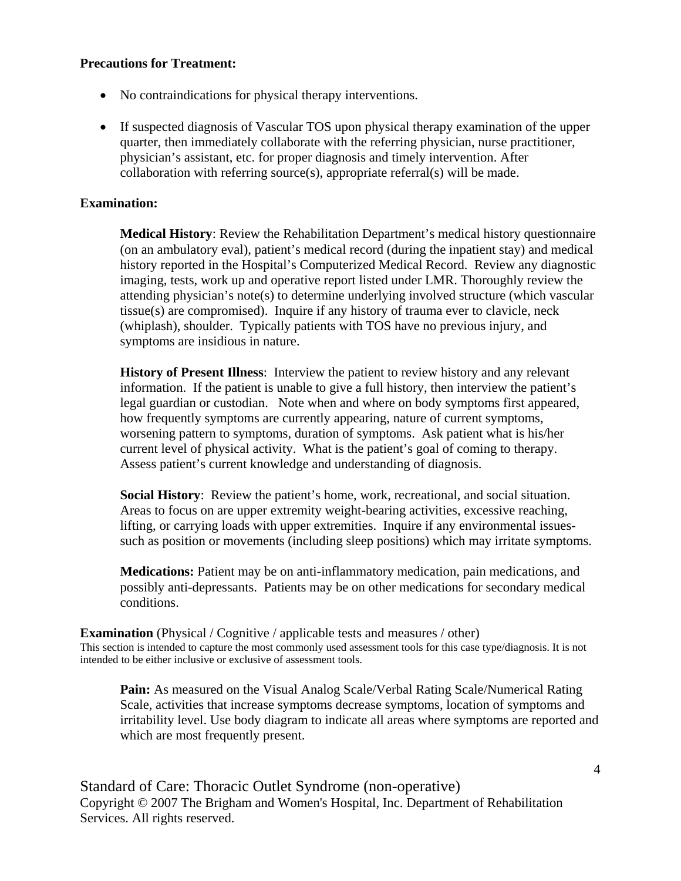#### **Precautions for Treatment:**

- No contraindications for physical therapy interventions.
- If suspected diagnosis of Vascular TOS upon physical therapy examination of the upper quarter, then immediately collaborate with the referring physician, nurse practitioner, physician's assistant, etc. for proper diagnosis and timely intervention. After collaboration with referring source(s), appropriate referral(s) will be made.

#### **Examination:**

**Medical History**: Review the Rehabilitation Department's medical history questionnaire (on an ambulatory eval), patient's medical record (during the inpatient stay) and medical history reported in the Hospital's Computerized Medical Record. Review any diagnostic imaging, tests, work up and operative report listed under LMR. Thoroughly review the attending physician's note(s) to determine underlying involved structure (which vascular tissue(s) are compromised). Inquire if any history of trauma ever to clavicle, neck (whiplash), shoulder. Typically patients with TOS have no previous injury, and symptoms are insidious in nature.

**History of Present Illness:** Interview the patient to review history and any relevant information. If the patient is unable to give a full history, then interview the patient's legal guardian or custodian. Note when and where on body symptoms first appeared, how frequently symptoms are currently appearing, nature of current symptoms, worsening pattern to symptoms, duration of symptoms. Ask patient what is his/her current level of physical activity. What is the patient's goal of coming to therapy. Assess patient's current knowledge and understanding of diagnosis.

**Social History**: Review the patient's home, work, recreational, and social situation. Areas to focus on are upper extremity weight-bearing activities, excessive reaching, lifting, or carrying loads with upper extremities. Inquire if any environmental issuessuch as position or movements (including sleep positions) which may irritate symptoms.

**Medications:** Patient may be on anti-inflammatory medication, pain medications, and possibly anti-depressants. Patients may be on other medications for secondary medical conditions.

**Examination** (Physical / Cognitive / applicable tests and measures / other) This section is intended to capture the most commonly used assessment tools for this case type/diagnosis. It is not intended to be either inclusive or exclusive of assessment tools.

**Pain:** As measured on the Visual Analog Scale/Verbal Rating Scale/Numerical Rating Scale, activities that increase symptoms decrease symptoms, location of symptoms and irritability level. Use body diagram to indicate all areas where symptoms are reported and which are most frequently present.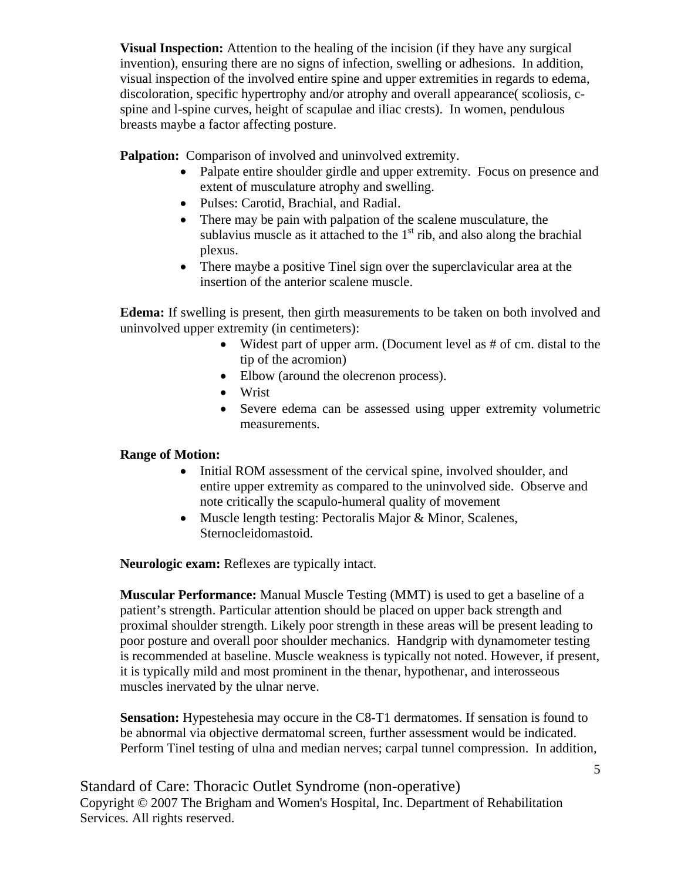**Visual Inspection:** Attention to the healing of the incision (if they have any surgical invention), ensuring there are no signs of infection, swelling or adhesions. In addition, visual inspection of the involved entire spine and upper extremities in regards to edema, discoloration, specific hypertrophy and/or atrophy and overall appearance( scoliosis, cspine and l-spine curves, height of scapulae and iliac crests). In women, pendulous breasts maybe a factor affecting posture.

**Palpation:** Comparison of involved and uninvolved extremity.

- Palpate entire shoulder girdle and upper extremity. Focus on presence and extent of musculature atrophy and swelling.
- Pulses: Carotid, Brachial, and Radial.
- There may be pain with palpation of the scalene musculature, the sublavius muscle as it attached to the  $1<sup>st</sup>$  rib, and also along the brachial plexus.
- There maybe a positive Tinel sign over the superclavicular area at the insertion of the anterior scalene muscle.

**Edema:** If swelling is present, then girth measurements to be taken on both involved and uninvolved upper extremity (in centimeters):

- Widest part of upper arm. (Document level as # of cm. distal to the tip of the acromion)
- Elbow (around the olecrenon process).
- Wrist
- Severe edema can be assessed using upper extremity volumetric measurements.

## **Range of Motion:**

- Initial ROM assessment of the cervical spine, involved shoulder, and entire upper extremity as compared to the uninvolved side. Observe and note critically the scapulo-humeral quality of movement
- Muscle length testing: Pectoralis Major & Minor, Scalenes, Sternocleidomastoid.

**Neurologic exam:** Reflexes are typically intact.

**Muscular Performance:** Manual Muscle Testing (MMT) is used to get a baseline of a patient's strength. Particular attention should be placed on upper back strength and proximal shoulder strength. Likely poor strength in these areas will be present leading to poor posture and overall poor shoulder mechanics. Handgrip with dynamometer testing is recommended at baseline. Muscle weakness is typically not noted. However, if present, it is typically mild and most prominent in the thenar, hypothenar, and interosseous muscles inervated by the ulnar nerve.

**Sensation:** Hypestehesia may occure in the C8-T1 dermatomes. If sensation is found to be abnormal via objective dermatomal screen, further assessment would be indicated. Perform Tinel testing of ulna and median nerves; carpal tunnel compression. In addition,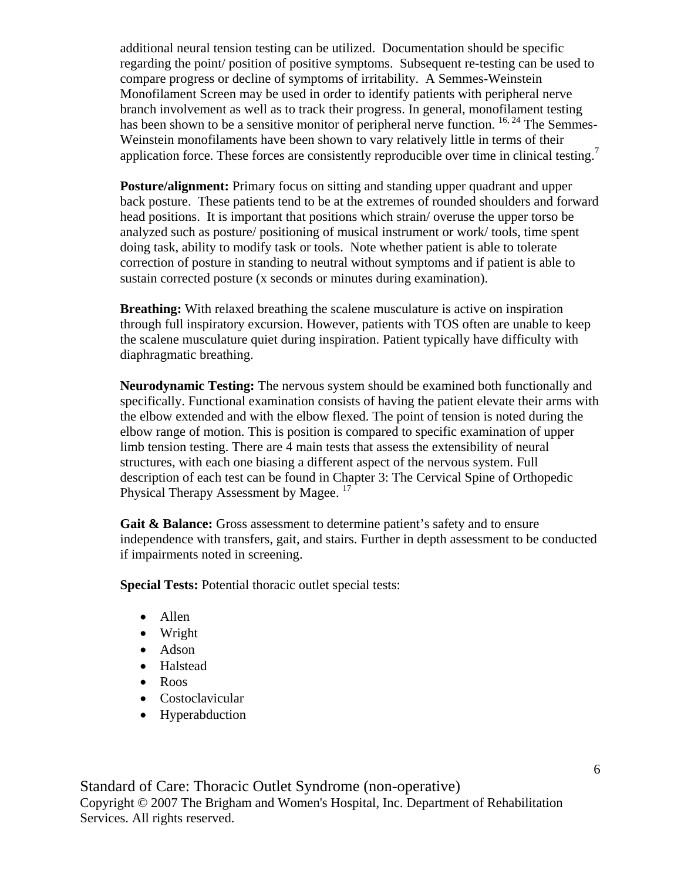additional neural tension testing can be utilized. Documentation should be specific regarding the point/ position of positive symptoms. Subsequent re-testing can be used to compare progress or decline of symptoms of irritability. A Semmes-Weinstein Monofilament Screen may be used in order to identify patients with peripheral nerve branch involvement as well as to track their progress. In general, monofilament testing has been shown to be a sensitive monitor of peripheral nerve function. <sup>16, 24</sup> The Semmes-Weinstein monofilaments have been shown to vary relatively little in terms of their application force. These forces are consistently reproducible over time in clinical testing.<sup>7</sup>

**Posture/alignment:** Primary focus on sitting and standing upper quadrant and upper back posture. These patients tend to be at the extremes of rounded shoulders and forward head positions. It is important that positions which strain/ overuse the upper torso be analyzed such as posture/ positioning of musical instrument or work/ tools, time spent doing task, ability to modify task or tools. Note whether patient is able to tolerate correction of posture in standing to neutral without symptoms and if patient is able to sustain corrected posture (x seconds or minutes during examination).

**Breathing:** With relaxed breathing the scalene musculature is active on inspiration through full inspiratory excursion. However, patients with TOS often are unable to keep the scalene musculature quiet during inspiration. Patient typically have difficulty with diaphragmatic breathing.

**Neurodynamic Testing:** The nervous system should be examined both functionally and specifically. Functional examination consists of having the patient elevate their arms with the elbow extended and with the elbow flexed. The point of tension is noted during the elbow range of motion. This is position is compared to specific examination of upper limb tension testing. There are 4 main tests that assess the extensibility of neural structures, with each one biasing a different aspect of the nervous system. Full description of each test can be found in Chapter 3: The Cervical Spine of Orthopedic Physical Therapy Assessment by Magee.<sup>17</sup>

**Gait & Balance:** Gross assessment to determine patient's safety and to ensure independence with transfers, gait, and stairs. Further in depth assessment to be conducted if impairments noted in screening.

**Special Tests:** Potential thoracic outlet special tests:

- Allen
- Wright
- Adson
- Halstead
- Roos
- Costoclavicular
- Hyperabduction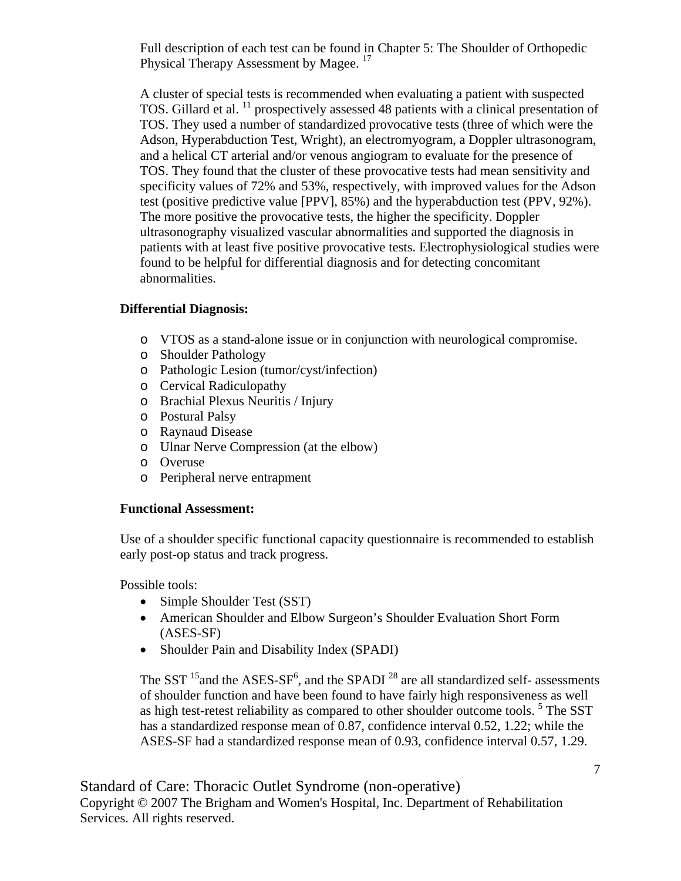Full description of each test can be found in Chapter 5: The Shoulder of Orthopedic Physical Therapy Assessment by Magee.<sup>17</sup>

A cluster of special tests is recommended when evaluating a patient with suspected TOS. Gillard et al. 11 prospectively assessed 48 patients with a clinical presentation of TOS. They used a number of standardized provocative tests (three of which were the Adson, Hyperabduction Test, Wright), an electromyogram, a Doppler ultrasonogram, and a helical CT arterial and/or venous angiogram to evaluate for the presence of TOS. They found that the cluster of these provocative tests had mean sensitivity and specificity values of 72% and 53%, respectively, with improved values for the Adson test (positive predictive value [PPV], 85%) and the hyperabduction test (PPV, 92%). The more positive the provocative tests, the higher the specificity. Doppler ultrasonography visualized vascular abnormalities and supported the diagnosis in patients with at least five positive provocative tests. Electrophysiological studies were found to be helpful for differential diagnosis and for detecting concomitant abnormalities.

## **Differential Diagnosis:**

- o VTOS as a stand-alone issue or in conjunction with neurological compromise.
- o Shoulder Pathology
- o Pathologic Lesion (tumor/cyst/infection)
- o Cervical Radiculopathy
- o Brachial Plexus Neuritis / Injury
- o Postural Palsy
- o Raynaud Disease
- o Ulnar Nerve Compression (at the elbow)
- o Overuse
- o Peripheral nerve entrapment

#### **Functional Assessment:**

Use of a shoulder specific functional capacity questionnaire is recommended to establish early post-op status and track progress.

Possible tools:

- Simple Shoulder Test (SST)
- American Shoulder and Elbow Surgeon's Shoulder Evaluation Short Form (ASES-SF)
- Shoulder Pain and Disability Index (SPADI)

The SST  $^{15}$  and the ASES-SF<sup>6</sup>, and the SPADI<sup>28</sup> are all standardized self- assessments of shoulder function and have been found to have fairly high responsiveness as well as high test-retest reliability as compared to other shoulder outcome tools.<sup>5</sup> The SST has a standardized response mean of 0.87, confidence interval 0.52, 1.22; while the ASES-SF had a standardized response mean of 0.93, confidence interval 0.57, 1.29.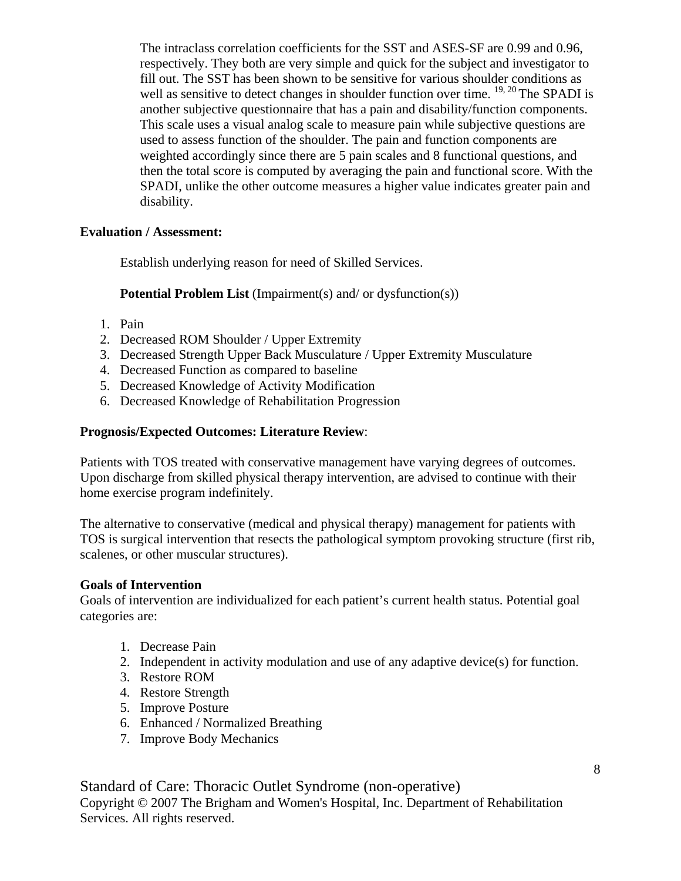The intraclass correlation coefficients for the SST and ASES-SF are 0.99 and 0.96, respectively. They both are very simple and quick for the subject and investigator to fill out. The SST has been shown to be sensitive for various shoulder conditions as well as sensitive to detect changes in shoulder function over time. <sup>19, 20</sup> The SPADI is another subjective questionnaire that has a pain and disability/function components. This scale uses a visual analog scale to measure pain while subjective questions are used to assess function of the shoulder. The pain and function components are weighted accordingly since there are 5 pain scales and 8 functional questions, and then the total score is computed by averaging the pain and functional score. With the SPADI, unlike the other outcome measures a higher value indicates greater pain and disability.

## **Evaluation / Assessment:**

Establish underlying reason for need of Skilled Services.

## **Potential Problem List** (Impairment(s) and/ or dysfunction(s))

- 1. Pain
- 2. Decreased ROM Shoulder / Upper Extremity
- 3. Decreased Strength Upper Back Musculature / Upper Extremity Musculature
- 4. Decreased Function as compared to baseline
- 5. Decreased Knowledge of Activity Modification
- 6. Decreased Knowledge of Rehabilitation Progression

## **Prognosis/Expected Outcomes: Literature Review**:

Patients with TOS treated with conservative management have varying degrees of outcomes. Upon discharge from skilled physical therapy intervention, are advised to continue with their home exercise program indefinitely.

The alternative to conservative (medical and physical therapy) management for patients with TOS is surgical intervention that resects the pathological symptom provoking structure (first rib, scalenes, or other muscular structures).

## **Goals of Intervention**

Goals of intervention are individualized for each patient's current health status. Potential goal categories are:

- 1. Decrease Pain
- 2. Independent in activity modulation and use of any adaptive device(s) for function.
- 3. Restore ROM
- 4. Restore Strength
- 5. Improve Posture
- 6. Enhanced / Normalized Breathing
- 7. Improve Body Mechanics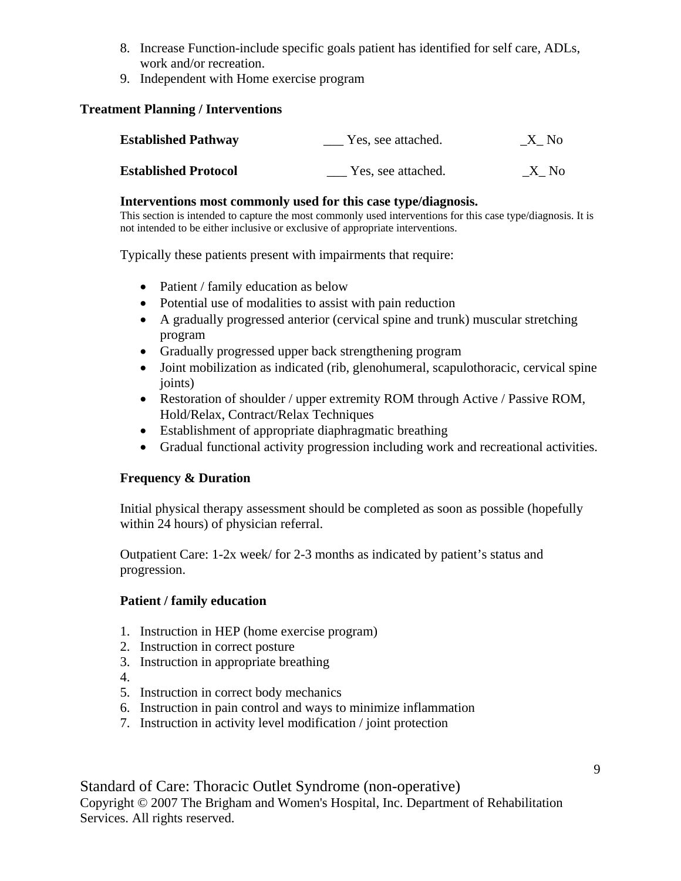- 8. Increase Function-include specific goals patient has identified for self care, ADLs, work and/or recreation.
- 9. Independent with Home exercise program

## **Treatment Planning / Interventions**

| <b>Established Pathway</b>  | Yes, see attached. | X No |
|-----------------------------|--------------------|------|
| <b>Established Protocol</b> | Yes, see attached. | X No |

#### **Interventions most commonly used for this case type/diagnosis.**

This section is intended to capture the most commonly used interventions for this case type/diagnosis. It is not intended to be either inclusive or exclusive of appropriate interventions.

Typically these patients present with impairments that require:

- Patient / family education as below
- Potential use of modalities to assist with pain reduction
- A gradually progressed anterior (cervical spine and trunk) muscular stretching program
- Gradually progressed upper back strengthening program
- Joint mobilization as indicated (rib, glenohumeral, scapulothoracic, cervical spine joints)
- Restoration of shoulder / upper extremity ROM through Active / Passive ROM, Hold/Relax, Contract/Relax Techniques
- Establishment of appropriate diaphragmatic breathing
- Gradual functional activity progression including work and recreational activities.

## **Frequency & Duration**

Initial physical therapy assessment should be completed as soon as possible (hopefully within 24 hours) of physician referral.

Outpatient Care: 1-2x week/ for 2-3 months as indicated by patient's status and progression.

## **Patient / family education**

- 1. Instruction in HEP (home exercise program)
- 2. Instruction in correct posture
- 3. Instruction in appropriate breathing
- 4.
- 5. Instruction in correct body mechanics
- 6. Instruction in pain control and ways to minimize inflammation
- 7. Instruction in activity level modification / joint protection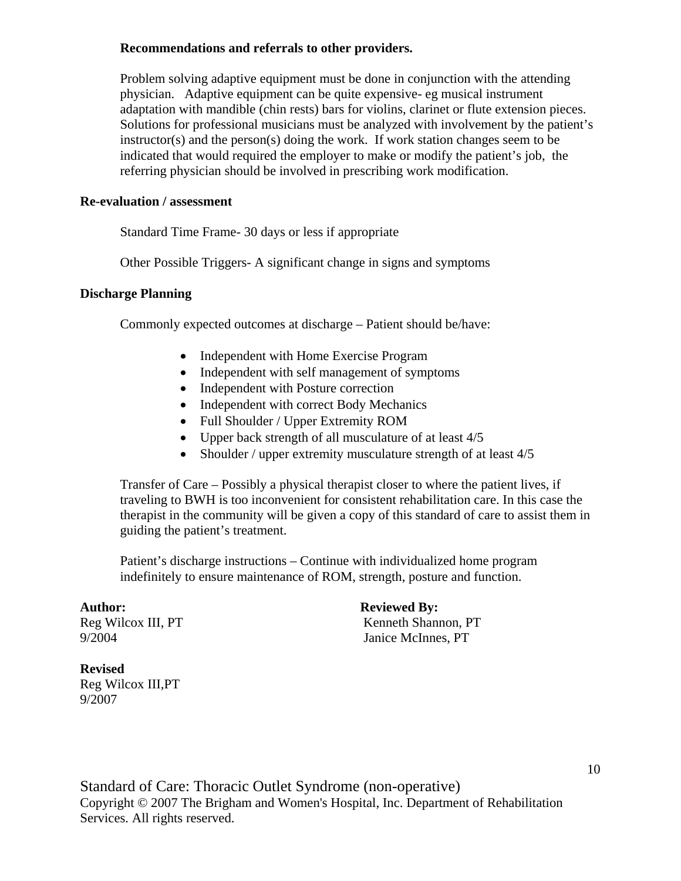#### **Recommendations and referrals to other providers.**

Problem solving adaptive equipment must be done in conjunction with the attending physician. Adaptive equipment can be quite expensive- eg musical instrument adaptation with mandible (chin rests) bars for violins, clarinet or flute extension pieces. Solutions for professional musicians must be analyzed with involvement by the patient's instructor(s) and the person(s) doing the work. If work station changes seem to be indicated that would required the employer to make or modify the patient's job, the referring physician should be involved in prescribing work modification.

#### **Re-evaluation / assessment**

Standard Time Frame- 30 days or less if appropriate

Other Possible Triggers- A significant change in signs and symptoms

#### **Discharge Planning**

Commonly expected outcomes at discharge – Patient should be/have:

- Independent with Home Exercise Program
- Independent with self management of symptoms
- Independent with Posture correction
- Independent with correct Body Mechanics
- Full Shoulder / Upper Extremity ROM
- Upper back strength of all musculature of at least  $4/5$
- Shoulder / upper extremity musculature strength of at least 4/5

Transfer of Care – Possibly a physical therapist closer to where the patient lives, if traveling to BWH is too inconvenient for consistent rehabilitation care. In this case the therapist in the community will be given a copy of this standard of care to assist them in guiding the patient's treatment.

Patient's discharge instructions – Continue with individualized home program indefinitely to ensure maintenance of ROM, strength, posture and function.

Author: Reviewed By: Reg Wilcox III, PT Kenneth Shannon, PT 9/2004 Janice McInnes, PT

## **Revised**

Reg Wilcox III,PT 9/2007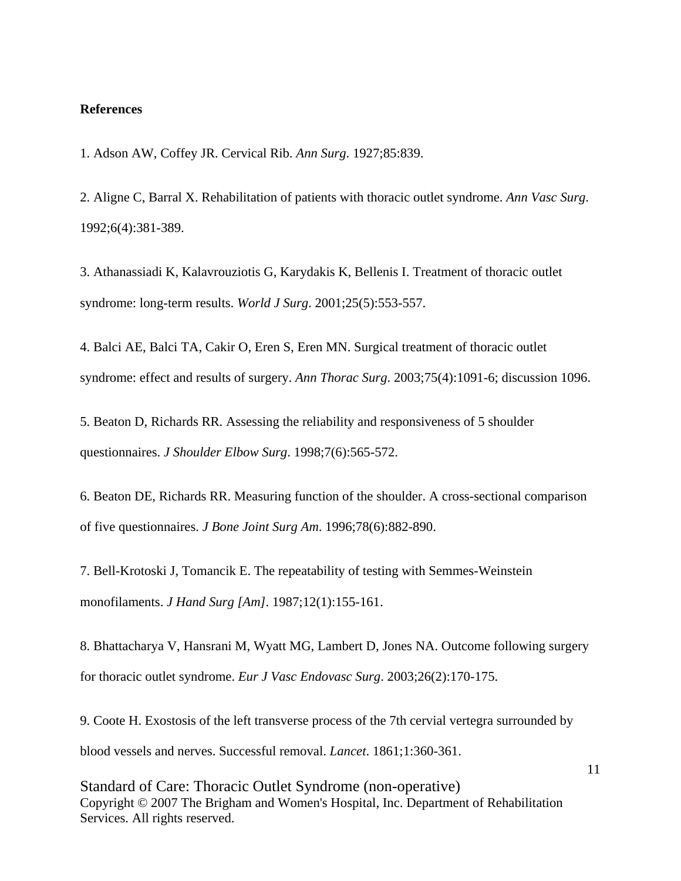#### **References**

1. Adson AW, Coffey JR. Cervical Rib. *Ann Surg*. 1927;85:839.

2. Aligne C, Barral X. Rehabilitation of patients with thoracic outlet syndrome. *Ann Vasc Surg*. 1992;6(4):381-389.

3. Athanassiadi K, Kalavrouziotis G, Karydakis K, Bellenis I. Treatment of thoracic outlet syndrome: long-term results. *World J Surg*. 2001;25(5):553-557.

4. Balci AE, Balci TA, Cakir O, Eren S, Eren MN. Surgical treatment of thoracic outlet syndrome: effect and results of surgery. *Ann Thorac Surg*. 2003;75(4):1091-6; discussion 1096.

5. Beaton D, Richards RR. Assessing the reliability and responsiveness of 5 shoulder questionnaires. *J Shoulder Elbow Surg*. 1998;7(6):565-572.

6. Beaton DE, Richards RR. Measuring function of the shoulder. A cross-sectional comparison of five questionnaires. *J Bone Joint Surg Am*. 1996;78(6):882-890.

7. Bell-Krotoski J, Tomancik E. The repeatability of testing with Semmes-Weinstein monofilaments. *J Hand Surg [Am]*. 1987;12(1):155-161.

8. Bhattacharya V, Hansrani M, Wyatt MG, Lambert D, Jones NA. Outcome following surgery for thoracic outlet syndrome. *Eur J Vasc Endovasc Surg*. 2003;26(2):170-175.

9. Coote H. Exostosis of the left transverse process of the 7th cervial vertegra surrounded by blood vessels and nerves. Successful removal. *Lancet*. 1861;1:360-361.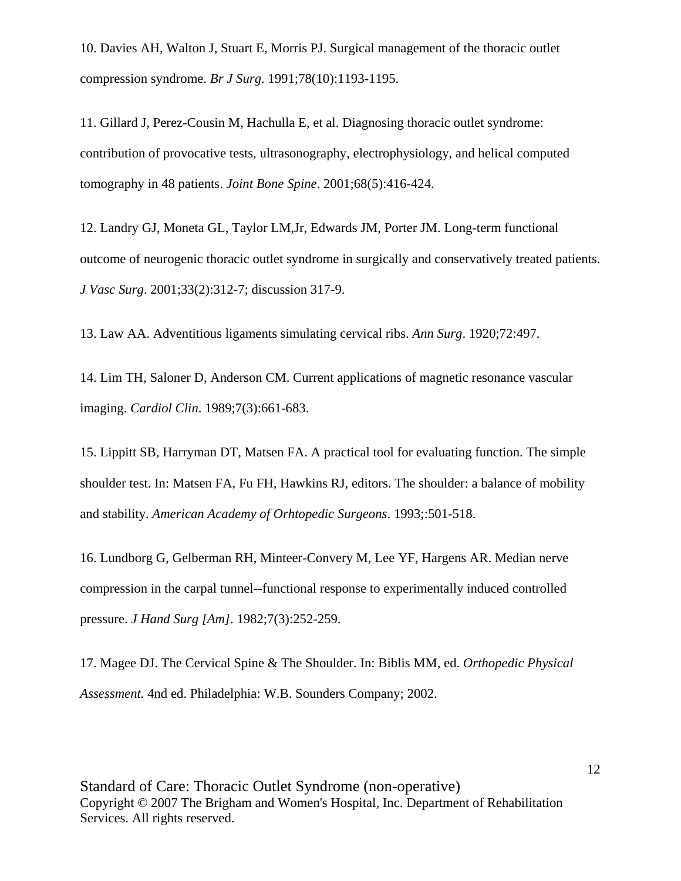10. Davies AH, Walton J, Stuart E, Morris PJ. Surgical management of the thoracic outlet compression syndrome. *Br J Surg*. 1991;78(10):1193-1195.

11. Gillard J, Perez-Cousin M, Hachulla E, et al. Diagnosing thoracic outlet syndrome: contribution of provocative tests, ultrasonography, electrophysiology, and helical computed tomography in 48 patients. *Joint Bone Spine*. 2001;68(5):416-424.

12. Landry GJ, Moneta GL, Taylor LM,Jr, Edwards JM, Porter JM. Long-term functional outcome of neurogenic thoracic outlet syndrome in surgically and conservatively treated patients. *J Vasc Surg*. 2001;33(2):312-7; discussion 317-9.

13. Law AA. Adventitious ligaments simulating cervical ribs. *Ann Surg*. 1920;72:497.

14. Lim TH, Saloner D, Anderson CM. Current applications of magnetic resonance vascular imaging. *Cardiol Clin*. 1989;7(3):661-683.

15. Lippitt SB, Harryman DT, Matsen FA. A practical tool for evaluating function. The simple shoulder test. In: Matsen FA, Fu FH, Hawkins RJ, editors. The shoulder: a balance of mobility and stability. *American Academy of Orhtopedic Surgeons*. 1993;:501-518.

16. Lundborg G, Gelberman RH, Minteer-Convery M, Lee YF, Hargens AR. Median nerve compression in the carpal tunnel--functional response to experimentally induced controlled pressure. *J Hand Surg [Am]*. 1982;7(3):252-259.

17. Magee DJ. The Cervical Spine & The Shoulder. In: Biblis MM, ed. *Orthopedic Physical Assessment.* 4nd ed. Philadelphia: W.B. Sounders Company; 2002.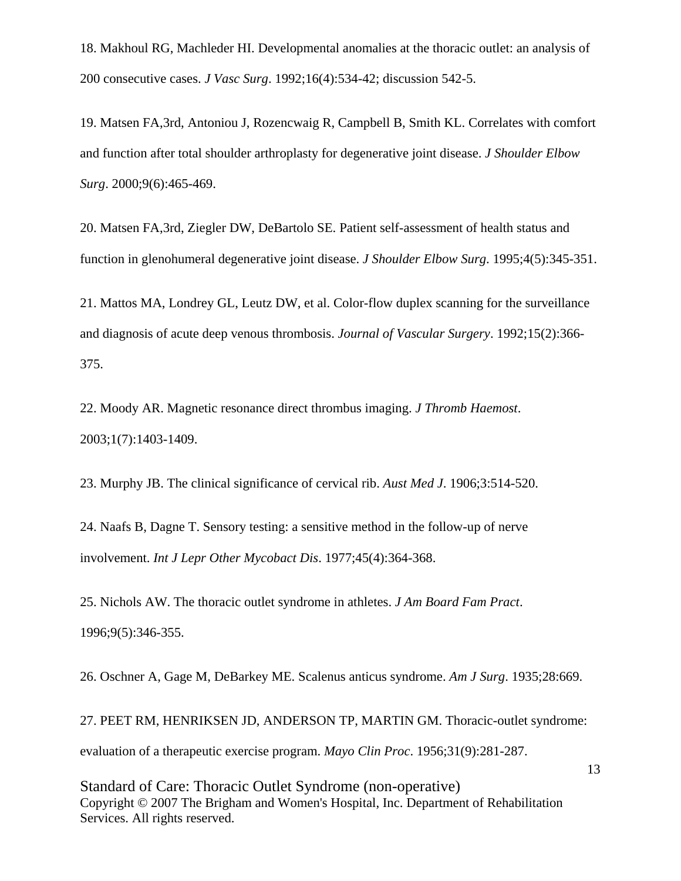18. Makhoul RG, Machleder HI. Developmental anomalies at the thoracic outlet: an analysis of 200 consecutive cases. *J Vasc Surg*. 1992;16(4):534-42; discussion 542-5.

19. Matsen FA,3rd, Antoniou J, Rozencwaig R, Campbell B, Smith KL. Correlates with comfort and function after total shoulder arthroplasty for degenerative joint disease. *J Shoulder Elbow Surg*. 2000;9(6):465-469.

20. Matsen FA,3rd, Ziegler DW, DeBartolo SE. Patient self-assessment of health status and function in glenohumeral degenerative joint disease. *J Shoulder Elbow Surg*. 1995;4(5):345-351.

21. Mattos MA, Londrey GL, Leutz DW, et al. Color-flow duplex scanning for the surveillance and diagnosis of acute deep venous thrombosis. *Journal of Vascular Surgery*. 1992;15(2):366- 375.

22. Moody AR. Magnetic resonance direct thrombus imaging. *J Thromb Haemost*. 2003;1(7):1403-1409.

23. Murphy JB. The clinical significance of cervical rib. *Aust Med J*. 1906;3:514-520.

24. Naafs B, Dagne T. Sensory testing: a sensitive method in the follow-up of nerve involvement. *Int J Lepr Other Mycobact Dis*. 1977;45(4):364-368.

25. Nichols AW. The thoracic outlet syndrome in athletes. *J Am Board Fam Pract*. 1996;9(5):346-355.

26. Oschner A, Gage M, DeBarkey ME. Scalenus anticus syndrome. *Am J Surg*. 1935;28:669.

27. PEET RM, HENRIKSEN JD, ANDERSON TP, MARTIN GM. Thoracic-outlet syndrome: evaluation of a therapeutic exercise program. *Mayo Clin Proc*. 1956;31(9):281-287.

Standard of Care: Thoracic Outlet Syndrome (non-operative) Copyright © 2007 The Brigham and Women's Hospital, Inc. Department of Rehabilitation Services. All rights reserved.

13